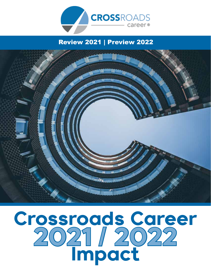

# Review 2021 | Preview 2022



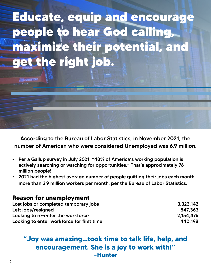

According to the Bureau of Labor Statistics, in November 2021, the number of American who were considered Unemployed was 6.9 million.

- Per a Gallup survey in July 2021, "48% of America's working population is actively searching or watching for opportunities." That's approximately 76 million people!
- 2021 had the highest average number of people quitting their jobs each month, more than 3.9 million workers per month, per the Bureau of Labor Statistics.

## **Reason for unemployment**

| Lost jobs or completed temporary jobs     | 3,323,142 |
|-------------------------------------------|-----------|
| Left jobs/resigned                        | 847.363   |
| Looking to re-enter the workforce         | 2.154.476 |
| Looking to enter workforce for first time | 440.198   |

# **"Joy was amazing...took time to talk life, help, and encouragement. She is a joy to work with!" ~Hunter**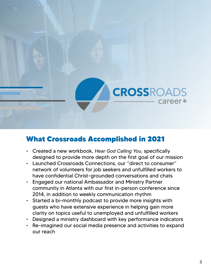

# What Crossroads Accomplished in 2021

- Created a new workbook, *Hear God Calling You,* specifically designed to provide more depth on the first goal of our mission
- Launched Crossroads Connections, our "direct to consumer" network of volunteers for job seekers and unfulfilled workers to have confidential Christ-grounded conversations and chats
- Engaged our national Ambassador and Ministry Partner community in Atlanta with our first in-person conference since 2014, in addition to weekly communication rhythm
- Started a bi-monthly podcast to provide more insights with guests who have extensive experience in helping gain more clarity on topics useful to unemployed and unfulfilled workers
- Designed a ministry dashboard with key performance indicators
- Re-imagined our social media presence and activities to expand our reach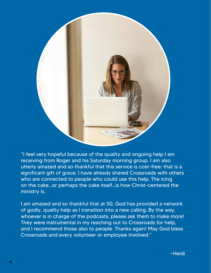

"I feel very hopeful because of the quality and ongoing help I am receiving from Roger and his Saturday morning group. I am also utterly amazed and so thankful that this service is cost-free: that is a significant gift of grace. I have already shared Crossroads with others who are connected to people who could use this help. The icing on the cake...or perhaps the cake itself...is how Christ-centered the ministry is.

I am amazed and so thankful that at 50, God has provided a network of godly, quality help as I transition into a new calling. By the way, whoever is in charge of the podcasts, please ask them to make more! They were instrumental in my reaching out to Crossroads for help, and I recommend those also to people. Thanks again! May God bless Crossroads and every volunteer or employee involved."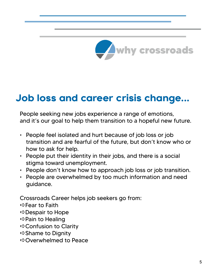

# Job loss and career crisis change...

People seeking new jobs experience a range of emotions, and it's our goal to help them transition to a hopeful new future.

- People feel isolated and hurt because of job loss or job transition and are fearful of the future, but don't know who or how to ask for help.
- People put their identity in their jobs, and there is a social stigma toward unemployment.
- People don't know how to approach job loss or job transition.
- People are overwhelmed by too much information and need guidance.

Crossroads Career helps job seekers go from:  $\Rightarrow$  Fear to Faith  $\Rightarrow$  Despair to Hope  $\Rightarrow$ **Pain to Healing**  $\Rightarrow$  Confusion to Clarity  $\Rightarrow$  Shame to Dignity aOverwhelmed to Peace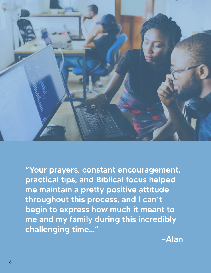

"Your prayers, constant encouragement, practical tips, and Biblical focus helped me maintain a pretty positive attitude throughout this process, and I can't begin to express how much it meant to me and my family during this incredibly challenging time…"

~Alan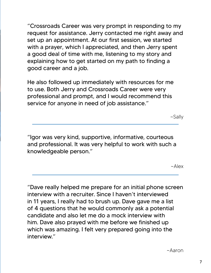"Crossroads Career was very prompt in responding to my request for assistance. Jerry contacted me right away and set up an appointment. At our first session, we started with a prayer, which I appreciated, and then Jerry spent a good deal of time with me, listening to my story and explaining how to get started on my path to finding a good career and a job.

He also followed up immediately with resources for me to use. Both Jerry and Crossroads Career were very professional and prompt, and I would recommend this service for anyone in need of job assistance."

~Sally

"Igor was very kind, supportive, informative, courteous and professional. It was very helpful to work with such a knowledgeable person."

 $~\sim$ Alex

"Dave really helped me prepare for an initial phone screen interview with a recruiter. Since I haven't interviewed in 11 years, I really had to brush up. Dave gave me a list of 4 questions that he would commonly ask a potential candidate and also let me do a mock interview with him. Dave also prayed with me before we finished up which was amazing. I felt very prepared going into the interview."

~Aaron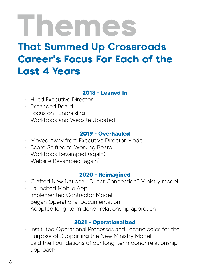# Themes That Summed Up Crossroads Career**'**s Focus For Each of the Last 4 Years

# **2018 - Leaned In**

- Hired Executive Director
- Expanded Board
- Focus on Fundraising
- Workbook and Website Updated

## **2019 - Overhauled**

- Moved Away from Executive Director Model
- Board Shifted to Working Board
- Workbook Revamped (again)
- Website Revamped (again)

## **2020 - Reimagined**

- Crafted New National "Direct Connection" Ministry model
- Launched Mobile App
- Implemented Contractor Model
- Began Operational Documentation
- Adopted long-term donor relationship approach

# **2021 - Operationalized**

- Instituted Operational Processes and Technologies for the Purpose of Supporting the New Ministry Model
- Laid the Foundations of our long-term donor relationship approach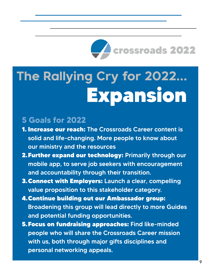

# The Rallying Cry for 2022... Expansion

# **5 Goals for 2022**

- 1. Increase our reach: The Crossroads Career content is solid and life-changing. More people to know about our ministry and the resources
- 2.Further expand our technology: Primarily through our mobile app, to serve job seekers with encouragement and accountability through their transition.
- 3.Connect with Employers: Launch a clear, compelling value proposition to this stakeholder category.
- 4.Continue building out our Ambassador group: Broadening this group will lead directly to more Guides and potential funding opportunities.
- 5.Focus on fundraising approaches: Find like-minded people who will share the Crossroads Career mission with us, both through major gifts disciplines and personal networking appeals.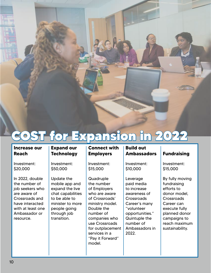

# COST for Expansion in 2022

### **Increase our Reach**

Investment: \$20,000

In 2022, double the number of job seekers who are aware of Crossroads and have interacted with at least one Ambassador or resource.

### **Expand our Technology**

Investment: \$50,000

Update the mobile app and expand the live chat capabilities to be able to minister to more people going through job transition.

### **Connect with Employers**

Investment: \$15,000

**Quadruple** the number of Employers who are aware of Crossroads' ministry model. Double the number of companies who use Crossroads for outplacement services in a "Pay it Forward" model.

### **Build out Ambassadors**

Investment: \$10,000

Leverage paid media to increase awareness of **Crossroads** Career's many "volunteer opportunities." Quintuple the number of Ambassadors in 2022.

### **Fundraising**

Investment: \$15,000

By fully moving fundraising efforts to donor model, **Crossroads** Career can execute fully planned donor campaigns to reach maximum sustainability.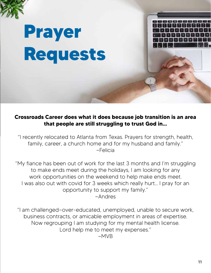

# **Crossroads Career does what it does because job transition is an area that people are still struggling to trust God in…**

"I recently relocated to Atlanta from Texas. Prayers for strength, health, family, career, a church home and for my husband and family." ~Felicia

"My fiance has been out of work for the last 3 months and I'm struggling to make ends meet during the holidays, I am looking for any work opportunities on the weekend to help make ends meet. I was also out with covid for 3 weeks which really hurt... I pray for an opportunity to support my family." ~Andres

"I am challenged—over-educated, unemployed, unable to secure work, business contracts, or amicable employment in areas of expertise. Now regrouping I am studying for my mental health license. Lord help me to meet my expenses." ~MVB

**PIRTH PIR**  $R$   $T$   $Y$ 

m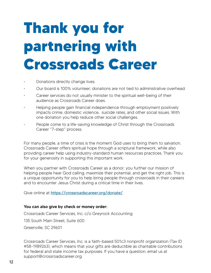# **Thank you for partnering with Crossroads Career**

- Donations directly change lives.
- Our board is 100% volunteer; donations are not tied to administrative overhead.
- Career services do not usually minister to the spiritual well-being of their audience as Crossroads Career does.
- Helping people gain financial independence through employment positively impacts crime, domestic violence, suicide rates, and other social issues. With one donation you help reduce other social challenges.
- People come to a life-saving knowledge of Christ through the Crossroads Career "7-step" process.

For many people, a time of crisis is the moment God uses to bring them to salvation. Crossroads Career offers spiritual hope through a scriptural framework, while also providing career help using industry-standard human resources practices. Thank you for your generosity in supporting this important work.

When you partner with Crossroads Career as a donor, you further our mission of helping people hear God calling, maximize their potential, and get the right job. This is a unique opportunity for you to help bring people through crossroads in their careers and to encounter Jesus Christ during a critical time in their lives.

Give online at https://crossroadscareer.org/donate/

#### You can also give by check or money order:

Crossroads Career Services, Inc. c/o Greyrock Accounting 135 South Main Street, Suite 600 Greenville, SC 29601

Crossroads Career Services, Inc. is a faith-based 501c3 nonprofit organization (Tax ID #58-1989263), which means that your gifts are deductible as charitable contributions for federal and state income tax purposes. If you have a question, email us at support@crossroadscareer.org.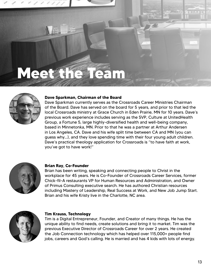# **Meet the Team**



#### **Dave Sparkman, Chairman of the Board**

Dave Sparkman currently serves as the Crossroads Career Ministries Chairman of the Board. Dave has served on the board for 5 years, and prior to that led the local Crossroads ministry at Grace Church in Eden Prairie, MN for 10 years. Dave's previous work experience includes serving as the SVP, Culture at UnitedHealth Group, a Fortune 5, large highly-diversified health and well-being company, based in Minnetonka, MN. Prior to that he was a partner at Arthur Andersen in Los Angeles, CA. Dave and his wife split time between CA and MN (you can guess why…), and they love spending time with their four young adult children. Dave's practical theology application for Crossroads is "to have faith at work, you've got to have work!"



#### **Brian Ray, Co-Founder**

Brian has been writing, speaking and connecting people to Christ in the workplace for 45 years. He is Co-Founder of Crossroads Career Services, former Chick-fil-A restaurants VP for Human Resources and Administration, and Owner of Primus Consulting executive search. He has authored Christian resources including Mastery of Leadership, Real Success at Work, and New Job Jump Start. Brian and his wife Kristy live in the Charlotte, NC area.



#### **Tim Krauss, Technology**

Tim is a Digital Entrepreneur, Founder, and Creator of many things. He has the unique ability to find needs, create solutions and bring it to market. Tim was the previous Executive Director of Crossroads Career for over 2 years. He created the Job Connection technology which has helped over 115,000+ people find jobs, careers and God's calling. He is married and has 4 kids with lots of energy.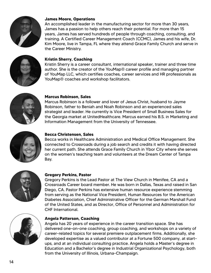

#### **James Moore, Operations**

An accomplished leader in the manufacturing sector for more than 30 years, James has a passion to help others reach their potential. For more than 15 years, James has served hundreds of people through coaching, consulting, and training. A Certified Career Management Coach (CCMC), James and his wife, Dr. Kim Moore, live in Tampa, FL where they attend Grace Family Church and serve in the Career Ministry.



#### **Kristin Sherry, Coaching**

Kristin Sherry is a career consultant, international speaker, trainer and three time author. She is the creator of the YouMap® career profile and managing partner of YouMap LLC, which certifies coaches, career services and HR professionals as YouMap® coaches and workshop facilitators.



#### **Marcus Robinson, Sales**

Marcus Robinson is a follower and lover of Jesus Christ, husband to Jayme Robinson, father to Beniah and Noah Robinson and an experienced sales strategist and leader. He currently is Vice President of Small Business Sales for the Georgia market at UnitedHealthcare. Marcus earned his B.S. in Marketing and Information Management from the University of Tennessee.



#### **Becca Christensen, Sales**

Becca works in Healthcare Administration and Medical Office Management. She connected to Crossroads during a job search and credits it with having directed her current path. She attends Grace Family Church in Ybor City where she serves on the women's teaching team and volunteers at the Dream Center of Tampa Bay.



#### **Gregory Perkins, Pastor**

Gregory Perkins is the Lead Pastor at The View Church in Menifee, CA and a Crossroads Career board member. He was born in Dallas, Texas and raised in San Diego, CA. Pastor Perkins has extensive human resource experience stemming from serving as the National Vice President, Human Resources for the American Diabetes Association, Chief Administrative Officer for the German Marshall Fund of the United States, and as Director, Office of Personnel and Administration for CHF International.



#### **Angela Patterson, Coaching**

Angela has 20 years of experience in the career transition space. She has delivered one-on-one coaching, group coaching, and workshops on a variety of career-related topics for several premiere outplacement firms. Additionally, she developed expertise as a valued contributor at a Fortune 500 company, at startups, and at an individual consulting practice. Angela holds a Master's degree in Education and a Bachelor's degree in Industrial Organizational Psychology, both from the University of Illinois, Urbana-Champaign.